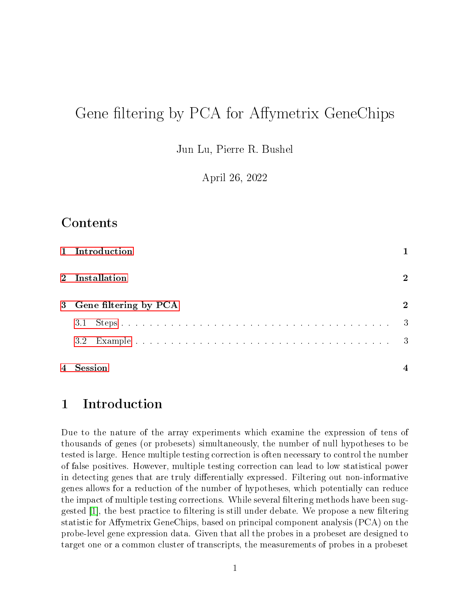# Gene filtering by PCA for Affymetrix GeneChips

Jun Lu, Pierre R. Bushel

April 26, 2022

### Contents

|   | 1 Introduction          |             |
|---|-------------------------|-------------|
|   | 2 Installation          | $\mathbf 2$ |
|   | 3 Gene filtering by PCA | $\mathbf 2$ |
|   | 3.1                     |             |
|   | 3.2                     |             |
| 4 | Session                 |             |

### <span id="page-0-0"></span>1 Introduction

Due to the nature of the array experiments which examine the expression of tens of thousands of genes (or probesets) simultaneously, the number of null hypotheses to be tested is large. Hence multiple testing correction is often necessary to control the number of false positives. However, multiple testing correction can lead to low statistical power in detecting genes that are truly differentially expressed. Filtering out non-informative genes allows for a reduction of the number of hypotheses, which potentially can reduce the impact of multiple testing corrections. While several filtering methods have been suggested  $|1|$ , the best practice to filtering is still under debate. We propose a new filtering statistic for Affymetrix GeneChips, based on principal component analysis (PCA) on the probe-level gene expression data. Given that all the probes in a probeset are designed to target one or a common cluster of transcripts, the measurements of probes in a probeset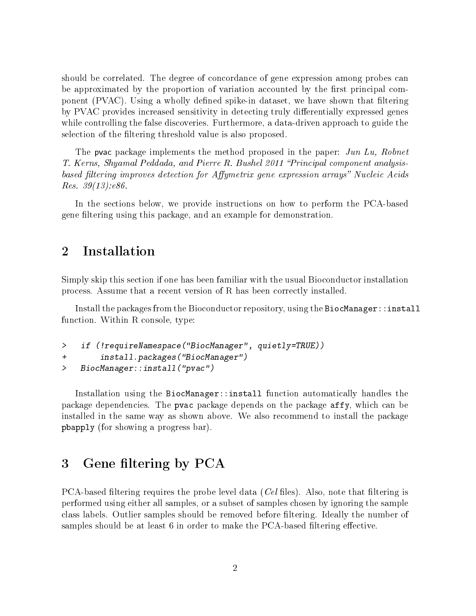should be correlated. The degree of concordance of gene expression among probes can be approximated by the proportion of variation accounted by the first principal component (PVAC). Using a wholly defined spike-in dataset, we have shown that filtering by PVAC provides increased sensitivity in detecting truly differentially expressed genes while controlling the false discoveries. Furthermore, a data-driven approach to guide the selection of the filtering threshold value is also proposed.

The pvac package implements the method proposed in the paper: Jun Lu, Robnet T. Kerns, Shyamal Peddada, and Pierre R. Bushel 2011 "Principal component analysisbased filtering improves detection for Affymetrix gene expression arrays" Nucleic Acids Res. 39(13):e86.

In the sections below, we provide instructions on how to perform the PCA-based gene filtering using this package, and an example for demonstration.

#### <span id="page-1-0"></span>2 Installation

Simply skip this section if one has been familiar with the usual Bioconductor installation process. Assume that a recent version of R has been correctly installed.

Install the packages from the Bioconductor repository, using the BiocManager::install function. Within R console, type:

```
> if (!requireNamespace("BiocManager", quietly=TRUE))
+ install.packages("BiocManager")
```

```
> BiocManager::install("pvac")
```
Installation using the BiocManager::install function automatically handles the package dependencies. The pvac package depends on the package affy, which can be installed in the same way as shown above. We also recommend to install the package pbapply (for showing a progress bar).

### <span id="page-1-1"></span>3 Gene filtering by PCA

PCA-based filtering requires the probe level data (*Cel* files). Also, note that filtering is performed using either all samples, or a subset of samples chosen by ignoring the sample class labels. Outlier samples should be removed before filtering. Ideally the number of samples should be at least 6 in order to make the PCA-based filtering effective.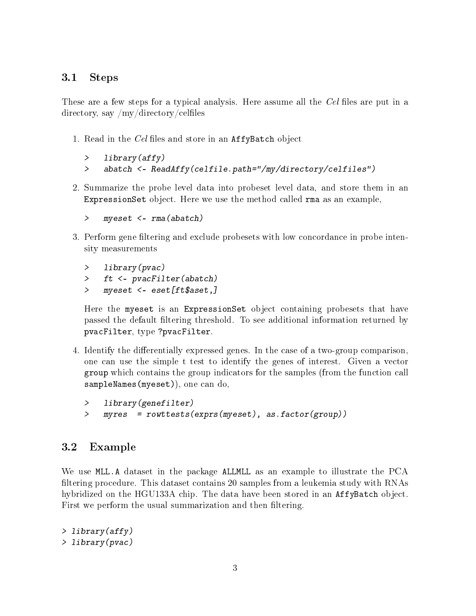#### <span id="page-2-0"></span>3.1 Steps

These are a few steps for a typical analysis. Here assume all the Cel files are put in a directory, say  $/my/directory/celfiles$ 

1. Read in the Cel files and store in an AffyBatch object

```
> library(affy)
```

```
> abatch <- ReadAffy(celfile.path="/my/directory/celfiles")
```
- 2. Summarize the probe level data into probeset level data, and store them in an ExpressionSet object. Here we use the method called rma as an example,
	- > myeset <- rma(abatch)
- 3. Perform gene filtering and exclude probesets with low concordance in probe intensity measurements
	- > library(pvac)
	- > ft <- pvacFilter(abatch)
	- > myeset <- eset[ft\$aset,]

Here the myeset is an ExpressionSet object containing probesets that have passed the default filtering threshold. To see additional information returned by pvacFilter, type ?pvacFilter.

4. Identify the differentially expressed genes. In the case of a two-group comparison, one can use the simple t test to identify the genes of interest. Given a vector group which contains the group indicators for the samples (from the function call sampleNames(myeset)), one can do,

```
> library(genefilter)
> myres = rowttests(exprs(myeset), as.factor(group))
```
#### <span id="page-2-1"></span>3.2 Example

We use MLL.A dataset in the package ALLMLL as an example to illustrate the PCA filtering procedure. This dataset contains 20 samples from a leukemia study with RNAs hybridized on the HGU133A chip. The data have been stored in an AffyBatch object. First we perform the usual summarization and then filtering.

```
> library(affy)
> library(pvac)
```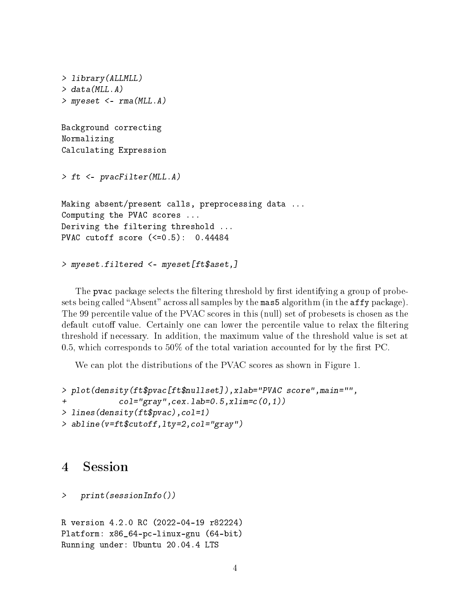```
> library(ALLMLL)
> data(MLL.A)
> myeset <- rma(MLL.A)
Background correcting
Normalizing
Calculating Expression
> ft <- pvacFilter(MLL.A)
Making absent/present calls, preprocessing data ...
Computing the PVAC scores ...
Deriving the filtering threshold ...
PVAC cutoff score (<=0.5): 0.44484
> myeset.filtered <- myeset[ft$aset,]
```
The pvac package selects the filtering threshold by first identifying a group of probesets being called "Absent" across all samples by the mas5 algorithm (in the affy package). The 99 percentile value of the PVAC scores in this (null) set of probesets is chosen as the default cutoff value. Certainly one can lower the percentile value to relax the filtering threshold if necessary. In addition, the maximum value of the threshold value is set at 0.5, which corresponds to 50% of the total variation accounted for by the first PC.

We can plot the distributions of the PVAC scores as shown in Figure 1.

```
> plot(density(ft$pvac[ft$nullset]),xlab="PVAC score",main="",
            col="gray",cex.lab=0.5,xlim=c(0,1))> lines(density(ft$pvac),col=1)
> abline(v=ft$cutoff,lty=2,col="gray")
```
#### <span id="page-3-0"></span>4 Session

```
> print(sessionInfo())
```

```
R version 4.2.0 RC (2022-04-19 r82224)
Platform: x86_64-pc-linux-gnu (64-bit)
Running under: Ubuntu 20.04.4 LTS
```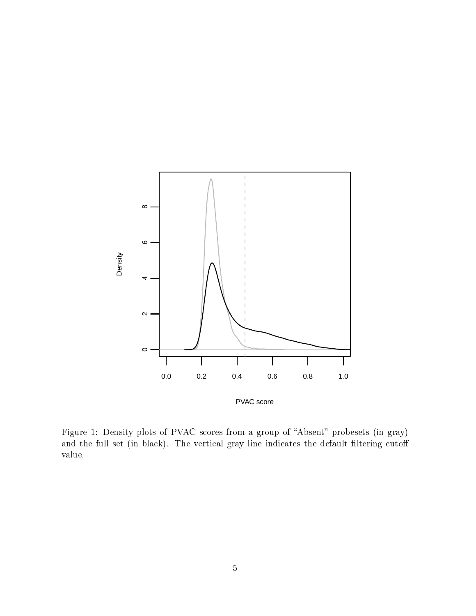

Figure 1: Density plots of PVAC scores from a group of "Absent" probesets (in gray) and the full set (in black). The vertical gray line indicates the default filtering cutoff value.